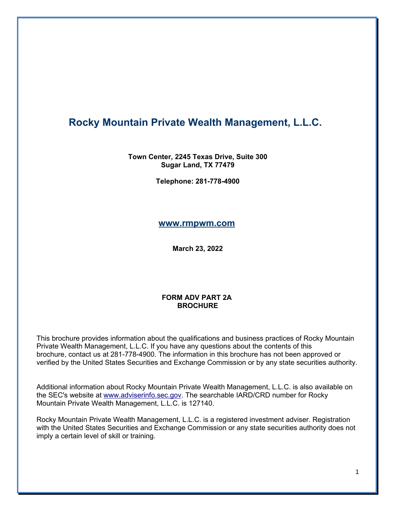# **Rocky Mountain Private Wealth Management, L.L.C.**

#### **Town Center, 2245 Texas Drive, Suite 300 Sugar Land, TX 77479**

**Telephone: 281-778-4900**

#### **[www.rmpwm.com](http://www.rmpwm.com/)**

**March 23, 2022**

#### **FORM ADV PART 2A BROCHURE**

This brochure provides information about the qualifications and business practices of Rocky Mountain Private Wealth Management, L.L.C. If you have any questions about the contents of this brochure, contact us at 281-778-4900. The information in this brochure has not been approved or verified by the United States Securities and Exchange Commission or by any state securities authority.

Additional information about Rocky Mountain Private Wealth Management, L.L.C. is also available on the SEC's website at [www.adviserinfo.sec.gov.](http://www.adviserinfo.sec.gov/) The searchable IARD/CRD number for Rocky Mountain Private Wealth Management, L.L.C. is 127140.

Rocky Mountain Private Wealth Management, L.L.C. is a registered investment adviser. Registration with the United States Securities and Exchange Commission or any state securities authority does not imply a certain level of skill or training.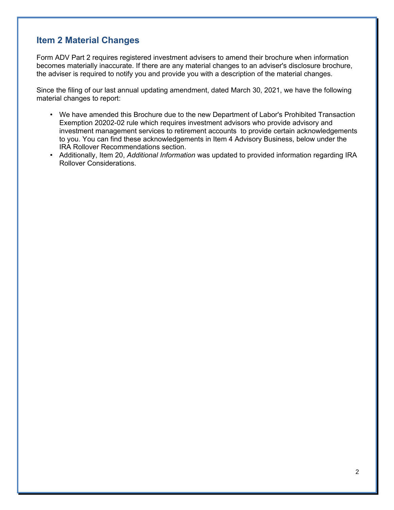## **Item 2 Material Changes**

Form ADV Part 2 requires registered investment advisers to amend their brochure when information becomes materially inaccurate. If there are any material changes to an adviser's disclosure brochure, the adviser is required to notify you and provide you with a description of the material changes.

Since the filing of our last annual updating amendment, dated March 30, 2021, we have the following material changes to report:

- We have amended this Brochure due to the new Department of Labor's Prohibited Transaction Exemption 20202-02 rule which requires investment advisors who provide advisory and investment management services to retirement accounts to provide certain acknowledgements to you. You can find these acknowledgements in Item 4 Advisory Business, below under the IRA Rollover Recommendations section.
- Additionally, Item 20, *Additional Information* was updated to provided information regarding IRA Rollover Considerations.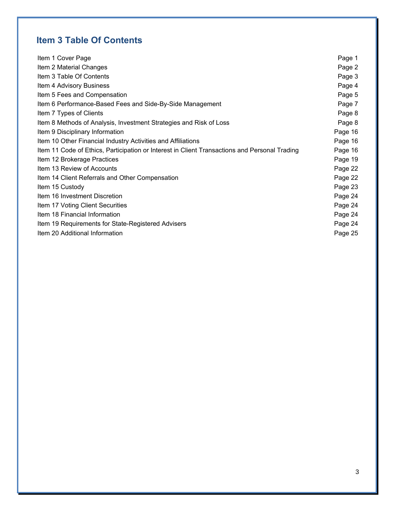# **Item 3 Table Of Contents**

| Item 1 Cover Page                                                                             | Page 1  |
|-----------------------------------------------------------------------------------------------|---------|
| Item 2 Material Changes                                                                       | Page 2  |
| Item 3 Table Of Contents                                                                      | Page 3  |
| Item 4 Advisory Business                                                                      | Page 4  |
| Item 5 Fees and Compensation                                                                  | Page 5  |
| Item 6 Performance-Based Fees and Side-By-Side Management                                     | Page 7  |
| Item 7 Types of Clients                                                                       | Page 8  |
| Item 8 Methods of Analysis, Investment Strategies and Risk of Loss                            | Page 8  |
| Item 9 Disciplinary Information                                                               | Page 16 |
| Item 10 Other Financial Industry Activities and Affiliations                                  | Page 16 |
| Item 11 Code of Ethics, Participation or Interest in Client Transactions and Personal Trading | Page 16 |
| Item 12 Brokerage Practices                                                                   | Page 19 |
| Item 13 Review of Accounts                                                                    | Page 22 |
| Item 14 Client Referrals and Other Compensation                                               | Page 22 |
| Item 15 Custody                                                                               | Page 23 |
| Item 16 Investment Discretion                                                                 | Page 24 |
| Item 17 Voting Client Securities                                                              | Page 24 |
| Item 18 Financial Information                                                                 | Page 24 |
| Item 19 Requirements for State-Registered Advisers                                            | Page 24 |
| Item 20 Additional Information                                                                | Page 25 |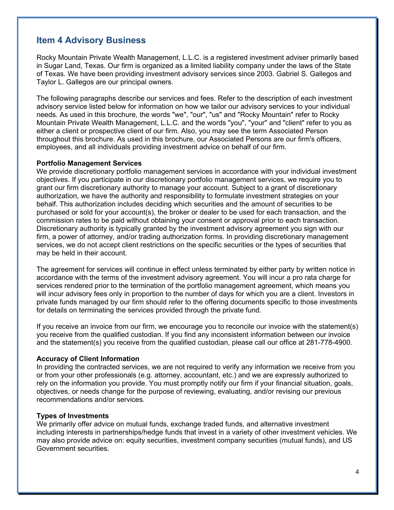### **Item 4 Advisory Business**

Rocky Mountain Private Wealth Management, L.L.C. is a registered investment adviser primarily based in Sugar Land, Texas. Our firm is organized as a limited liability company under the laws of the State of Texas. We have been providing investment advisory services since 2003. Gabriel S. Gallegos and Taylor L. Gallegos are our principal owners.

The following paragraphs describe our services and fees. Refer to the description of each investment advisory service listed below for information on how we tailor our advisory services to your individual needs. As used in this brochure, the words "we", "our", "us" and "Rocky Mountain" refer to Rocky Mountain Private Wealth Management, L.L.C. and the words "you", "your" and "client" refer to you as either a client or prospective client of our firm. Also, you may see the term Associated Person throughout this brochure. As used in this brochure, our Associated Persons are our firm's officers, employees, and all individuals providing investment advice on behalf of our firm.

#### **Portfolio Management Services**

We provide discretionary portfolio management services in accordance with your individual investment objectives. If you participate in our discretionary portfolio management services, we require you to grant our firm discretionary authority to manage your account. Subject to a grant of discretionary authorization, we have the authority and responsibility to formulate investment strategies on your behalf. This authorization includes deciding which securities and the amount of securities to be purchased or sold for your account(s), the broker or dealer to be used for each transaction, and the commission rates to be paid without obtaining your consent or approval prior to each transaction. Discretionary authority is typically granted by the investment advisory agreement you sign with our firm, a power of attorney, and/or trading authorization forms. In providing discretionary management services, we do not accept client restrictions on the specific securities or the types of securities that may be held in their account.

The agreement for services will continue in effect unless terminated by either party by written notice in accordance with the terms of the investment advisory agreement. You will incur a pro rata charge for services rendered prior to the termination of the portfolio management agreement, which means you will incur advisory fees only in proportion to the number of days for which you are a client. Investors in private funds managed by our firm should refer to the offering documents specific to those investments for details on terminating the services provided through the private fund.

If you receive an invoice from our firm, we encourage you to reconcile our invoice with the statement(s) you receive from the qualified custodian. If you find any inconsistent information between our invoice and the statement(s) you receive from the qualified custodian, please call our office at 281-778-4900.

#### **Accuracy of Client Information**

In providing the contracted services, we are not required to verify any information we receive from you or from your other professionals (e.g. attorney, accountant, etc.) and we are expressly authorized to rely on the information you provide. You must promptly notify our firm if your financial situation, goals, objectives, or needs change for the purpose of reviewing, evaluating, and/or revising our previous recommendations and/or services.

#### **Types of Investments**

We primarily offer advice on mutual funds, exchange traded funds, and alternative investment including interests in partnerships/hedge funds that invest in a variety of other investment vehicles. We may also provide advice on: equity securities, investment company securities (mutual funds), and US Government securities.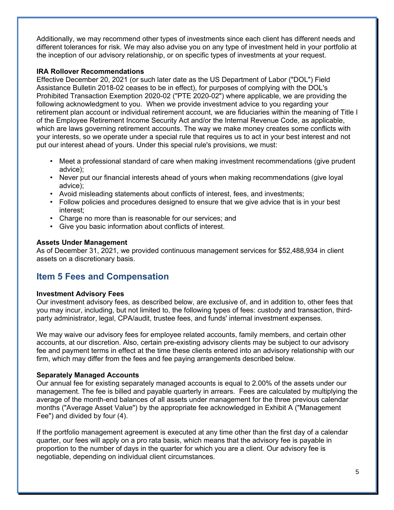Additionally, we may recommend other types of investments since each client has different needs and different tolerances for risk. We may also advise you on any type of investment held in your portfolio at the inception of our advisory relationship, or on specific types of investments at your request.

#### **IRA Rollover Recommendations**

Effective December 20, 2021 (or such later date as the US Department of Labor ("DOL") Field Assistance Bulletin 2018-02 ceases to be in effect), for purposes of complying with the DOL's Prohibited Transaction Exemption 2020-02 ("PTE 2020-02") where applicable, we are providing the following acknowledgment to you. When we provide investment advice to you regarding your retirement plan account or individual retirement account, we are fiduciaries within the meaning of Title I of the Employee Retirement Income Security Act and/or the Internal Revenue Code, as applicable, which are laws governing retirement accounts. The way we make money creates some conflicts with your interests, so we operate under a special rule that requires us to act in your best interest and not put our interest ahead of yours. Under this special rule's provisions, we must:

- Meet a professional standard of care when making investment recommendations (give prudent advice);
- Never put our financial interests ahead of yours when making recommendations (give loyal advice);
- Avoid misleading statements about conflicts of interest, fees, and investments;
- Follow policies and procedures designed to ensure that we give advice that is in your best interest;
- Charge no more than is reasonable for our services; and
- Give you basic information about conflicts of interest.

#### **Assets Under Management**

As of December 31, 2021, we provided continuous management services for \$52,488,934 in client assets on a discretionary basis.

### **Item 5 Fees and Compensation**

#### **Investment Advisory Fees**

Our investment advisory fees, as described below, are exclusive of, and in addition to, other fees that you may incur, including, but not limited to, the following types of fees: custody and transaction, thirdparty administrator, legal, CPA/audit, trustee fees, and funds' internal investment expenses.

We may waive our advisory fees for employee related accounts, family members, and certain other accounts, at our discretion. Also, certain pre-existing advisory clients may be subject to our advisory fee and payment terms in effect at the time these clients entered into an advisory relationship with our firm, which may differ from the fees and fee paying arrangements described below.

#### **Separately Managed Accounts**

Our annual fee for existing separately managed accounts is equal to 2.00% of the assets under our management. The fee is billed and payable quarterly in arrears. Fees are calculated by multiplying the average of the month-end balances of all assets under management for the three previous calendar months ("Average Asset Value") by the appropriate fee acknowledged in Exhibit A ("Management Fee") and divided by four (4).

If the portfolio management agreement is executed at any time other than the first day of a calendar quarter, our fees will apply on a pro rata basis, which means that the advisory fee is payable in proportion to the number of days in the quarter for which you are a client. Our advisory fee is negotiable, depending on individual client circumstances.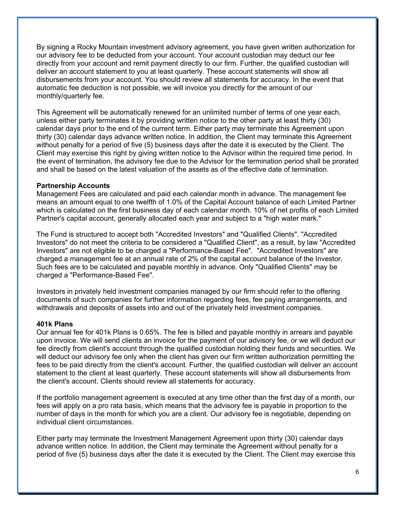By signing a Rocky Mountain investment advisory agreement, you have given written authorization for our advisory fee to be deducted from your account. Your account custodian may deduct our fee directly from your account and remit payment directly to our firm. Further, the qualified custodian will deliver an account statement to you at least quarterly. These account statements will show all disbursements from your account. You should review all statements for accuracy. In the event that automatic fee deduction is not possible, we will invoice you directly for the amount of our monthly/quarterly fee.

This Agreement will be automatically renewed for an unlimited number of terms of one year each, unless either party terminates it by providing written notice to the other party at least thirty (30) calendar days prior to the end of the current term. Either party may terminate this Agreement upon thirty (30) calendar days advance written notice. In addition, the Client may terminate this Agreement without penalty for a period of five (5) business days after the date it is executed by the Client. The Client may exercise this right by giving written notice to the Advisor within the required time period. In the event of termination, the advisory fee due to the Advisor for the termination period shall be prorated and shall be based on the latest valuation of the assets as of the effective date of termination.

#### **Partnership Accounts**

Management Fees are calculated and paid each calendar month in advance. The management fee means an amount equal to one twelfth of 1.0% of the Capital Account balance of each Limited Partner which is calculated on the first business day of each calendar month. 10% of net profits of each Limited Partner's capital account, generally allocated each year and subject to a "high water mark."

The Fund is structured to accept both "Accredited Investors" and "Qualified Clients". "Accredited Investors" do not meet the criteria to be considered a "Qualified Client", as a result, by law "Accredited Investors" are not eligible to be charged a "Performance-Based Fee". "Accredited Investors" are charged a management fee at an annual rate of 2% of the capital account balance of the Investor. Such fees are to be calculated and payable monthly in advance. Only "Qualified Clients" may be charged a "Performance-Based Fee".

Investors in privately held investment companies managed by our firm should refer to the offering documents of such companies for further information regarding fees, fee paying arrangements, and withdrawals and deposits of assets into and out of the privately held investment companies.

#### **401k Plans**

Our annual fee for 401k Plans is 0.65%. The fee is billed and payable monthly in arrears and payable upon invoice. We will send clients an invoice for the payment of our advisory fee, or we will deduct our fee directly from client's account through the qualified custodian holding their funds and securities. We will deduct our advisory fee only when the client has given our firm written authorization permitting the fees to be paid directly from the client's account. Further, the qualified custodian will deliver an account statement to the client at least quarterly. These account statements will show all disbursements from the client's account. Clients should review all statements for accuracy.

If the portfolio management agreement is executed at any time other than the first day of a month, our fees will apply on a pro rata basis, which means that the advisory fee is payable in proportion to the number of days in the month for which you are a client. Our advisory fee is negotiable, depending on individual client circumstances.

Either party may terminate the Investment Management Agreement upon thirty (30) calendar days advance written notice. In addition, the Client may terminate the Agreement without penalty for a period of five (5) business days after the date it is executed by the Client. The Client may exercise this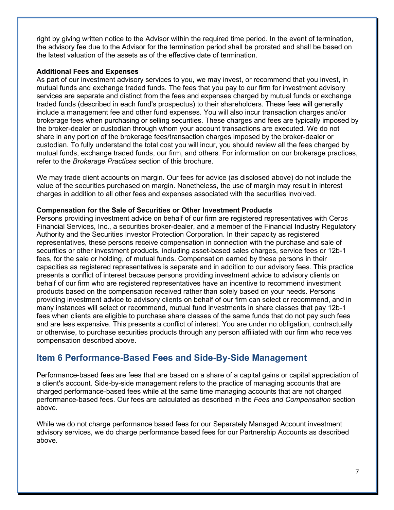right by giving written notice to the Advisor within the required time period. In the event of termination, the advisory fee due to the Advisor for the termination period shall be prorated and shall be based on the latest valuation of the assets as of the effective date of termination.

#### **Additional Fees and Expenses**

As part of our investment advisory services to you, we may invest, or recommend that you invest, in mutual funds and exchange traded funds. The fees that you pay to our firm for investment advisory services are separate and distinct from the fees and expenses charged by mutual funds or exchange traded funds (described in each fund's prospectus) to their shareholders. These fees will generally include a management fee and other fund expenses. You will also incur transaction charges and/or brokerage fees when purchasing or selling securities. These charges and fees are typically imposed by the broker-dealer or custodian through whom your account transactions are executed. We do not share in any portion of the brokerage fees/transaction charges imposed by the broker-dealer or custodian. To fully understand the total cost you will incur, you should review all the fees charged by mutual funds, exchange traded funds, our firm, and others. For information on our brokerage practices, refer to the *Brokerage Practices* section of this brochure.

We may trade client accounts on margin. Our fees for advice (as disclosed above) do not include the value of the securities purchased on margin. Nonetheless, the use of margin may result in interest charges in addition to all other fees and expenses associated with the securities involved.

#### **Compensation for the Sale of Securities or Other Investment Products**

Persons providing investment advice on behalf of our firm are registered representatives with Ceros Financial Services, Inc., a securities broker-dealer, and a member of the Financial Industry Regulatory Authority and the Securities Investor Protection Corporation. In their capacity as registered representatives, these persons receive compensation in connection with the purchase and sale of securities or other investment products, including asset-based sales charges, service fees or 12b-1 fees, for the sale or holding, of mutual funds. Compensation earned by these persons in their capacities as registered representatives is separate and in addition to our advisory fees. This practice presents a conflict of interest because persons providing investment advice to advisory clients on behalf of our firm who are registered representatives have an incentive to recommend investment products based on the compensation received rather than solely based on your needs. Persons providing investment advice to advisory clients on behalf of our firm can select or recommend, and in many instances will select or recommend, mutual fund investments in share classes that pay 12b-1 fees when clients are eligible to purchase share classes of the same funds that do not pay such fees and are less expensive. This presents a conflict of interest. You are under no obligation, contractually or otherwise, to purchase securities products through any person affiliated with our firm who receives compensation described above.

### **Item 6 Performance-Based Fees and Side-By-Side Management**

Performance-based fees are fees that are based on a share of a capital gains or capital appreciation of a client's account. Side-by-side management refers to the practice of managing accounts that are charged performance-based fees while at the same time managing accounts that are not charged performance-based fees. Our fees are calculated as described in the *Fees and Compensation* section above.

While we do not charge performance based fees for our Separately Managed Account investment advisory services, we do charge performance based fees for our Partnership Accounts as described above.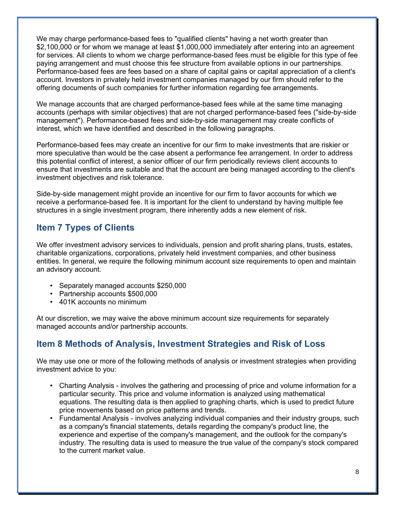We may charge performance-based fees to "qualified clients" having a net worth greater than \$2,100,000 or for whom we manage at least \$1,000,000 immediately after entering into an agreement for services. All clients to whom we charge performance-based fees must be eligible for this type of fee paying arrangement and must choose this fee structure from available options in our partnerships. Performance-based fees are fees based on a share of capital gains or capital appreciation of a client's account. Investors in privately held investment companies managed by our firm should refer to the offering documents of such companies for further information regarding fee arrangements.

We manage accounts that are charged performance-based fees while at the same time managing accounts (perhaps with similar objectives) that are not charged performance-based fees ("side-by-side management"). Performance-based fees and side-by-side management may create conflicts of interest, which we have identified and described in the following paragraphs.

Performance-based fees may create an incentive for our firm to make investments that are riskier or more speculative than would be the case absent a performance fee arrangement. In order to address this potential conflict of interest, a senior officer of our firm periodically reviews client accounts to ensure that investments are suitable and that the account are being managed according to the client's investment objectives and risk tolerance.

Side-by-side management might provide an incentive for our firm to favor accounts for which we receive a performance-based fee. It is important for the client to understand by having multiple fee structures in a single investment program, there inherently adds a new element of risk.

### **Item 7 Types of Clients**

We offer investment advisory services to individuals, pension and profit sharing plans, trusts, estates, charitable organizations, corporations, privately held investment companies, and other business entities. In general, we require the following minimum account size requirements to open and maintain an advisory account.

- Separately managed accounts \$250,000
- Partnership accounts \$500,000
- 401K accounts no minimum

At our discretion, we may waive the above minimum account size requirements for separately managed accounts and/or partnership accounts.

# **Item 8 Methods of Analysis, Investment Strategies and Risk of Loss**

We may use one or more of the following methods of analysis or investment strategies when providing investment advice to you:

- Charting Analysis involves the gathering and processing of price and volume information for a particular security. This price and volume information is analyzed using mathematical equations. The resulting data is then applied to graphing charts, which is used to predict future price movements based on price patterns and trends.
- Fundamental Analysis involves analyzing individual companies and their industry groups, such as a company's financial statements, details regarding the company's product line, the experience and expertise of the company's management, and the outlook for the company's industry. The resulting data is used to measure the true value of the company's stock compared to the current market value.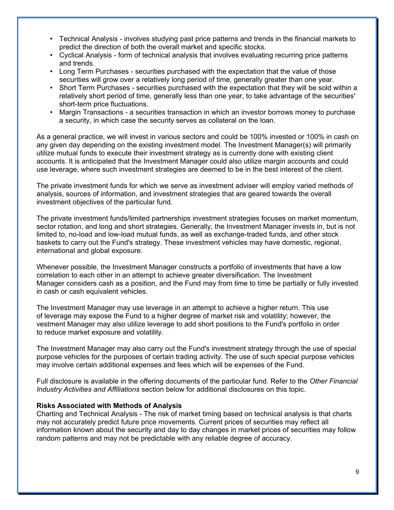- Technical Analysis involves studying past price patterns and trends in the financial markets to predict the direction of both the overall market and specific stocks.
- Cyclical Analysis form of technical analysis that involves evaluating recurring price patterns and trends.
- Long Term Purchases securities purchased with the expectation that the value of those securities will grow over a relatively long period of time, generally greater than one year.
- Short Term Purchases securities purchased with the expectation that they will be sold within a relatively short period of time, generally less than one year, to take advantage of the securities' short-term price fluctuations.
- Margin Transactions a securities transaction in which an investor borrows money to purchase a security, in which case the security serves as collateral on the loan.

As a general practice, we will invest in various sectors and could be 100% invested or 100% in cash on any given day depending on the existing investment model. The Investment Manager(s) will primarily utilize mutual funds to execute their investment strategy as is currently done with existing client accounts. It is anticipated that the Investment Manager could also utilize margin accounts and could use leverage, where such investment strategies are deemed to be in the best interest of the client.

The private investment funds for which we serve as investment adviser will employ varied methods of analysis, sources of information, and investment strategies that are geared towards the overall investment objectives of the particular fund.

The private investment funds/limited partnerships investment strategies focuses on market momentum, sector rotation, and long and short strategies. Generally, the Investment Manager invests in, but is not limited to, no-load and low-load mutual funds, as well as exchange-traded funds, and other stock baskets to carry out the Fund's strategy. These investment vehicles may have domestic, regional, international and global exposure.

Whenever possible, the Investment Manager constructs a portfolio of investments that have a low correlation to each other in an attempt to achieve greater diversification. The Investment Manager considers cash as a position, and the Fund may from time to time be partially or fully invested in cash or cash equivalent vehicles.

The Investment Manager may use leverage in an attempt to achieve a higher return. This use of leverage may expose the Fund to a higher degree of market risk and volatility; however, the vestment Manager may also utilize leverage to add short positions to the Fund's portfolio in order to reduce market exposure and volatility.

The Investment Manager may also carry out the Fund's investment strategy through the use of special purpose vehicles for the purposes of certain trading activity. The use of such special purpose vehicles may involve certain additional expenses and fees which will be expenses of the Fund.

Full disclosure is available in the offering documents of the particular fund. Refer to the *Other Financial Industry Activities and Affiliations* section below for additional disclosures on this topic.

#### **Risks Associated with Methods of Analysis**

Charting and Technical Analysis - The risk of market timing based on technical analysis is that charts may not accurately predict future price movements. Current prices of securities may reflect all information known about the security and day to day changes in market prices of securities may follow random patterns and may not be predictable with any reliable degree of accuracy.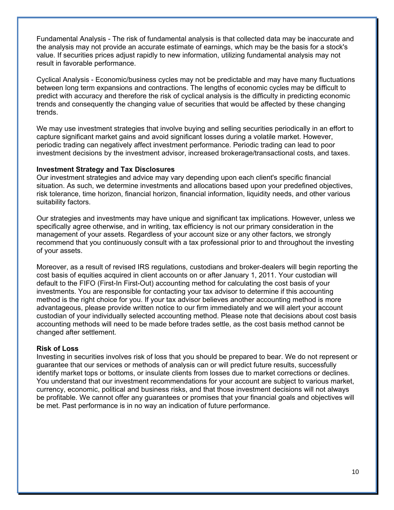Fundamental Analysis - The risk of fundamental analysis is that collected data may be inaccurate and the analysis may not provide an accurate estimate of earnings, which may be the basis for a stock's value. If securities prices adjust rapidly to new information, utilizing fundamental analysis may not result in favorable performance.

Cyclical Analysis - Economic/business cycles may not be predictable and may have many fluctuations between long term expansions and contractions. The lengths of economic cycles may be difficult to predict with accuracy and therefore the risk of cyclical analysis is the difficulty in predicting economic trends and consequently the changing value of securities that would be affected by these changing trends.

We may use investment strategies that involve buying and selling securities periodically in an effort to capture significant market gains and avoid significant losses during a volatile market. However, periodic trading can negatively affect investment performance. Periodic trading can lead to poor investment decisions by the investment advisor, increased brokerage/transactional costs, and taxes.

#### **Investment Strategy and Tax Disclosures**

Our investment strategies and advice may vary depending upon each client's specific financial situation. As such, we determine investments and allocations based upon your predefined objectives, risk tolerance, time horizon, financial horizon, financial information, liquidity needs, and other various suitability factors.

Our strategies and investments may have unique and significant tax implications. However, unless we specifically agree otherwise, and in writing, tax efficiency is not our primary consideration in the management of your assets. Regardless of your account size or any other factors, we strongly recommend that you continuously consult with a tax professional prior to and throughout the investing of your assets.

Moreover, as a result of revised IRS regulations, custodians and broker-dealers will begin reporting the cost basis of equities acquired in client accounts on or after January 1, 2011. Your custodian will default to the FIFO (First-In First-Out) accounting method for calculating the cost basis of your investments. You are responsible for contacting your tax advisor to determine if this accounting method is the right choice for you. If your tax advisor believes another accounting method is more advantageous, please provide written notice to our firm immediately and we will alert your account custodian of your individually selected accounting method. Please note that decisions about cost basis accounting methods will need to be made before trades settle, as the cost basis method cannot be changed after settlement.

#### **Risk of Loss**

Investing in securities involves risk of loss that you should be prepared to bear. We do not represent or guarantee that our services or methods of analysis can or will predict future results, successfully identify market tops or bottoms, or insulate clients from losses due to market corrections or declines. You understand that our investment recommendations for your account are subject to various market, currency, economic, political and business risks, and that those investment decisions will not always be profitable. We cannot offer any guarantees or promises that your financial goals and objectives will be met. Past performance is in no way an indication of future performance.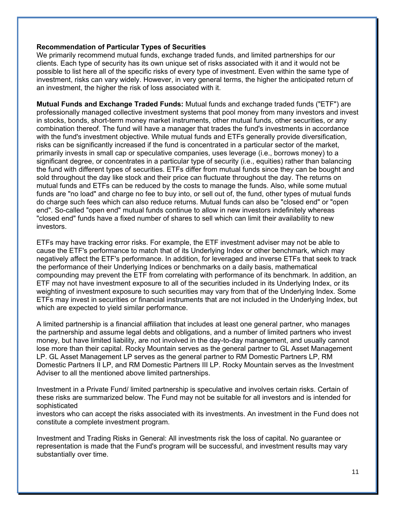#### **Recommendation of Particular Types of Securities**

We primarily recommend mutual funds, exchange traded funds, and limited partnerships for our clients. Each type of security has its own unique set of risks associated with it and it would not be possible to list here all of the specific risks of every type of investment. Even within the same type of investment, risks can vary widely. However, in very general terms, the higher the anticipated return of an investment, the higher the risk of loss associated with it.

**Mutual Funds and Exchange Traded Funds:** Mutual funds and exchange traded funds ("ETF") are professionally managed collective investment systems that pool money from many investors and invest in stocks, bonds, short-term money market instruments, other mutual funds, other securities, or any combination thereof. The fund will have a manager that trades the fund's investments in accordance with the fund's investment objective. While mutual funds and ETFs generally provide diversification, risks can be significantly increased if the fund is concentrated in a particular sector of the market, primarily invests in small cap or speculative companies, uses leverage (i.e., borrows money) to a significant degree, or concentrates in a particular type of security (i.e., equities) rather than balancing the fund with different types of securities. ETFs differ from mutual funds since they can be bought and sold throughout the day like stock and their price can fluctuate throughout the day. The returns on mutual funds and ETFs can be reduced by the costs to manage the funds. Also, while some mutual funds are "no load" and charge no fee to buy into, or sell out of, the fund, other types of mutual funds do charge such fees which can also reduce returns. Mutual funds can also be "closed end" or "open end". So-called "open end" mutual funds continue to allow in new investors indefinitely whereas "closed end" funds have a fixed number of shares to sell which can limit their availability to new investors.

ETFs may have tracking error risks. For example, the ETF investment adviser may not be able to cause the ETF's performance to match that of its Underlying Index or other benchmark, which may negatively affect the ETF's performance. In addition, for leveraged and inverse ETFs that seek to track the performance of their Underlying Indices or benchmarks on a daily basis, mathematical compounding may prevent the ETF from correlating with performance of its benchmark. In addition, an ETF may not have investment exposure to all of the securities included in its Underlying Index, or its weighting of investment exposure to such securities may vary from that of the Underlying Index. Some ETFs may invest in securities or financial instruments that are not included in the Underlying Index, but which are expected to yield similar performance.

A limited partnership is a financial affiliation that includes at least one general partner, who manages the partnership and assume legal debts and obligations, and a number of limited partners who invest money, but have limited liability, are not involved in the day-to-day management, and usually cannot lose more than their capital. Rocky Mountain serves as the general partner to GL Asset Management LP. GL Asset Management LP serves as the general partner to RM Domestic Partners LP, RM Domestic Partners II LP, and RM Domestic Partners III LP. Rocky Mountain serves as the Investment Adviser to all the mentioned above limited partnerships.

Investment in a Private Fund/ limited partnership is speculative and involves certain risks. Certain of these risks are summarized below. The Fund may not be suitable for all investors and is intended for sophisticated

investors who can accept the risks associated with its investments. An investment in the Fund does not constitute a complete investment program.

Investment and Trading Risks in General: All investments risk the loss of capital. No guarantee or representation is made that the Fund's program will be successful, and investment results may vary substantially over time.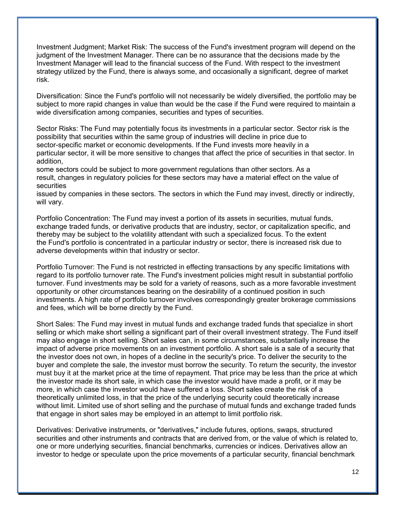Investment Judgment; Market Risk: The success of the Fund's investment program will depend on the judgment of the Investment Manager. There can be no assurance that the decisions made by the Investment Manager will lead to the financial success of the Fund. With respect to the investment strategy utilized by the Fund, there is always some, and occasionally a significant, degree of market risk.

Diversification: Since the Fund's portfolio will not necessarily be widely diversified, the portfolio may be subject to more rapid changes in value than would be the case if the Fund were required to maintain a wide diversification among companies, securities and types of securities.

Sector Risks: The Fund may potentially focus its investments in a particular sector. Sector risk is the possibility that securities within the same group of industries will decline in price due to sector-specific market or economic developments. If the Fund invests more heavily in a particular sector, it will be more sensitive to changes that affect the price of securities in that sector. In addition,

some sectors could be subject to more government regulations than other sectors. As a result, changes in regulatory policies for these sectors may have a material effect on the value of securities

issued by companies in these sectors. The sectors in which the Fund may invest, directly or indirectly, will vary.

Portfolio Concentration: The Fund may invest a portion of its assets in securities, mutual funds, exchange traded funds, or derivative products that are industry, sector, or capitalization specific, and thereby may be subject to the volatility attendant with such a specialized focus. To the extent the Fund's portfolio is concentrated in a particular industry or sector, there is increased risk due to adverse developments within that industry or sector.

Portfolio Turnover: The Fund is not restricted in effecting transactions by any specific limitations with regard to its portfolio turnover rate. The Fund's investment policies might result in substantial portfolio turnover. Fund investments may be sold for a variety of reasons, such as a more favorable investment opportunity or other circumstances bearing on the desirability of a continued position in such investments. A high rate of portfolio turnover involves correspondingly greater brokerage commissions and fees, which will be borne directly by the Fund.

Short Sales: The Fund may invest in mutual funds and exchange traded funds that specialize in short selling or which make short selling a significant part of their overall investment strategy. The Fund itself may also engage in short selling. Short sales can, in some circumstances, substantially increase the impact of adverse price movements on an investment portfolio. A short sale is a sale of a security that the investor does not own, in hopes of a decline in the security's price. To deliver the security to the buyer and complete the sale, the investor must borrow the security. To return the security, the investor must buy it at the market price at the time of repayment. That price may be less than the price at which the investor made its short sale, in which case the investor would have made a profit, or it may be more, in which case the investor would have suffered a loss. Short sales create the risk of a theoretically unlimited loss, in that the price of the underlying security could theoretically increase without limit. Limited use of short selling and the purchase of mutual funds and exchange traded funds that engage in short sales may be employed in an attempt to limit portfolio risk.

Derivatives: Derivative instruments, or "derivatives," include futures, options, swaps, structured securities and other instruments and contracts that are derived from, or the value of which is related to, one or more underlying securities, financial benchmarks, currencies or indices. Derivatives allow an investor to hedge or speculate upon the price movements of a particular security, financial benchmark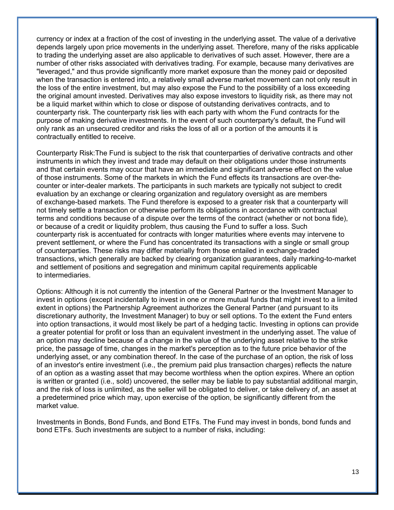currency or index at a fraction of the cost of investing in the underlying asset. The value of a derivative depends largely upon price movements in the underlying asset. Therefore, many of the risks applicable to trading the underlying asset are also applicable to derivatives of such asset. However, there are a number of other risks associated with derivatives trading. For example, because many derivatives are "leveraged," and thus provide significantly more market exposure than the money paid or deposited when the transaction is entered into, a relatively small adverse market movement can not only result in the loss of the entire investment, but may also expose the Fund to the possibility of a loss exceeding the original amount invested. Derivatives may also expose investors to liquidity risk, as there may not be a liquid market within which to close or dispose of outstanding derivatives contracts, and to counterparty risk. The counterparty risk lies with each party with whom the Fund contracts for the purpose of making derivative investments. In the event of such counterparty's default, the Fund will only rank as an unsecured creditor and risks the loss of all or a portion of the amounts it is contractually entitled to receive.

Counterparty Risk:The Fund is subject to the risk that counterparties of derivative contracts and other instruments in which they invest and trade may default on their obligations under those instruments and that certain events may occur that have an immediate and significant adverse effect on the value of those instruments. Some of the markets in which the Fund effects its transactions are over-thecounter or inter-dealer markets. The participants in such markets are typically not subject to credit evaluation by an exchange or clearing organization and regulatory oversight as are members of exchange-based markets. The Fund therefore is exposed to a greater risk that a counterparty will not timely settle a transaction or otherwise perform its obligations in accordance with contractual terms and conditions because of a dispute over the terms of the contract (whether or not bona fide), or because of a credit or liquidity problem, thus causing the Fund to suffer a loss. Such counterparty risk is accentuated for contracts with longer maturities where events may intervene to prevent settlement, or where the Fund has concentrated its transactions with a single or small group of counterparties. These risks may differ materially from those entailed in exchange-traded transactions, which generally are backed by clearing organization guarantees, daily marking-to-market and settlement of positions and segregation and minimum capital requirements applicable to intermediaries.

Options: Although it is not currently the intention of the General Partner or the Investment Manager to invest in options (except incidentally to invest in one or more mutual funds that might invest to a limited extent in options) the Partnership Agreement authorizes the General Partner (and pursuant to its discretionary authority, the Investment Manager) to buy or sell options. To the extent the Fund enters into option transactions, it would most likely be part of a hedging tactic. Investing in options can provide a greater potential for profit or loss than an equivalent investment in the underlying asset. The value of an option may decline because of a change in the value of the underlying asset relative to the strike price, the passage of time, changes in the market's perception as to the future price behavior of the underlying asset, or any combination thereof. In the case of the purchase of an option, the risk of loss of an investor's entire investment (i.e., the premium paid plus transaction charges) reflects the nature of an option as a wasting asset that may become worthless when the option expires. Where an option is written or granted (i.e., sold) uncovered, the seller may be liable to pay substantial additional margin, and the risk of loss is unlimited, as the seller will be obligated to deliver, or take delivery of, an asset at a predetermined price which may, upon exercise of the option, be significantly different from the market value.

Investments in Bonds, Bond Funds, and Bond ETFs. The Fund may invest in bonds, bond funds and bond ETFs. Such investments are subject to a number of risks, including: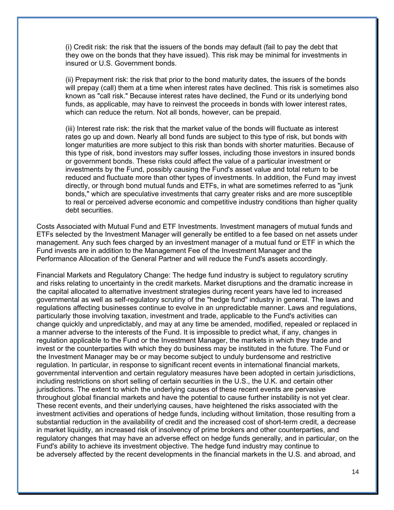(i) Credit risk: the risk that the issuers of the bonds may default (fail to pay the debt that they owe on the bonds that they have issued). This risk may be minimal for investments in insured or U.S. Government bonds.

(ii) Prepayment risk: the risk that prior to the bond maturity dates, the issuers of the bonds will prepay (call) them at a time when interest rates have declined. This risk is sometimes also known as "call risk." Because interest rates have declined, the Fund or its underlying bond funds, as applicable, may have to reinvest the proceeds in bonds with lower interest rates, which can reduce the return. Not all bonds, however, can be prepaid.

(iii) Interest rate risk: the risk that the market value of the bonds will fluctuate as interest rates go up and down. Nearly all bond funds are subject to this type of risk, but bonds with longer maturities are more subject to this risk than bonds with shorter maturities. Because of this type of risk, bond investors may suffer losses, including those investors in insured bonds or government bonds. These risks could affect the value of a particular investment or investments by the Fund, possibly causing the Fund's asset value and total return to be reduced and fluctuate more than other types of investments. In addition, the Fund may invest directly, or through bond mutual funds and ETFs, in what are sometimes referred to as "junk bonds," which are speculative investments that carry greater risks and are more susceptible to real or perceived adverse economic and competitive industry conditions than higher quality debt securities.

Costs Associated with Mutual Fund and ETF Investments. Investment managers of mutual funds and ETFs selected by the Investment Manager will generally be entitled to a fee based on net assets under management. Any such fees charged by an investment manager of a mutual fund or ETF in which the Fund invests are in addition to the Management Fee of the Investment Manager and the Performance Allocation of the General Partner and will reduce the Fund's assets accordingly.

Financial Markets and Regulatory Change: The hedge fund industry is subject to regulatory scrutiny and risks relating to uncertainty in the credit markets. Market disruptions and the dramatic increase in the capital allocated to alternative investment strategies during recent years have led to increased governmental as well as self-regulatory scrutiny of the "hedge fund" industry in general. The laws and regulations affecting businesses continue to evolve in an unpredictable manner. Laws and regulations, particularly those involving taxation, investment and trade, applicable to the Fund's activities can change quickly and unpredictably, and may at any time be amended, modified, repealed or replaced in a manner adverse to the interests of the Fund. It is impossible to predict what, if any, changes in regulation applicable to the Fund or the Investment Manager, the markets in which they trade and invest or the counterparties with which they do business may be instituted in the future. The Fund or the Investment Manager may be or may become subject to unduly burdensome and restrictive regulation. In particular, in response to significant recent events in international financial markets, governmental intervention and certain regulatory measures have been adopted in certain jurisdictions, including restrictions on short selling of certain securities in the U.S., the U.K. and certain other jurisdictions. The extent to which the underlying causes of these recent events are pervasive throughout global financial markets and have the potential to cause further instability is not yet clear. These recent events, and their underlying causes, have heightened the risks associated with the investment activities and operations of hedge funds, including without limitation, those resulting from a substantial reduction in the availability of credit and the increased cost of short-term credit, a decrease in market liquidity, an increased risk of insolvency of prime brokers and other counterparties, and regulatory changes that may have an adverse effect on hedge funds generally, and in particular, on the Fund's ability to achieve its investment objective. The hedge fund industry may continue to be adversely affected by the recent developments in the financial markets in the U.S. and abroad, and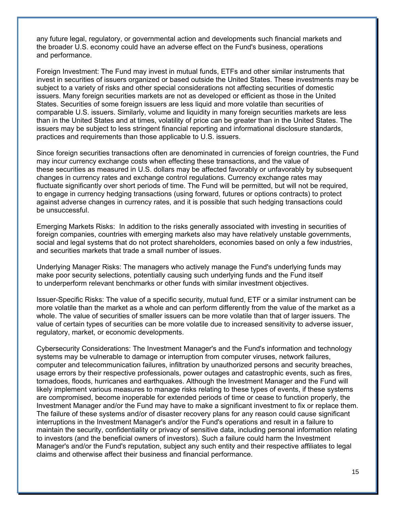any future legal, regulatory, or governmental action and developments such financial markets and the broader U.S. economy could have an adverse effect on the Fund's business, operations and performance.

Foreign Investment: The Fund may invest in mutual funds, ETFs and other similar instruments that invest in securities of issuers organized or based outside the United States. These investments may be subject to a variety of risks and other special considerations not affecting securities of domestic issuers. Many foreign securities markets are not as developed or efficient as those in the United States. Securities of some foreign issuers are less liquid and more volatile than securities of comparable U.S. issuers. Similarly, volume and liquidity in many foreign securities markets are less than in the United States and at times, volatility of price can be greater than in the United States. The issuers may be subject to less stringent financial reporting and informational disclosure standards, practices and requirements than those applicable to U.S. issuers.

Since foreign securities transactions often are denominated in currencies of foreign countries, the Fund may incur currency exchange costs when effecting these transactions, and the value of these securities as measured in U.S. dollars may be affected favorably or unfavorably by subsequent changes in currency rates and exchange control regulations. Currency exchange rates may fluctuate significantly over short periods of time. The Fund will be permitted, but will not be required, to engage in currency hedging transactions (using forward, futures or options contracts) to protect against adverse changes in currency rates, and it is possible that such hedging transactions could be unsuccessful.

Emerging Markets Risks: In addition to the risks generally associated with investing in securities of foreign companies, countries with emerging markets also may have relatively unstable governments, social and legal systems that do not protect shareholders, economies based on only a few industries, and securities markets that trade a small number of issues.

Underlying Manager Risks: The managers who actively manage the Fund's underlying funds may make poor security selections, potentially causing such underlying funds and the Fund itself to underperform relevant benchmarks or other funds with similar investment objectives.

Issuer-Specific Risks: The value of a specific security, mutual fund, ETF or a similar instrument can be more volatile than the market as a whole and can perform differently from the value of the market as a whole. The value of securities of smaller issuers can be more volatile than that of larger issuers. The value of certain types of securities can be more volatile due to increased sensitivity to adverse issuer, regulatory, market, or economic developments.

Cybersecurity Considerations: The Investment Manager's and the Fund's information and technology systems may be vulnerable to damage or interruption from computer viruses, network failures, computer and telecommunication failures, infiltration by unauthorized persons and security breaches, usage errors by their respective professionals, power outages and catastrophic events, such as fires, tornadoes, floods, hurricanes and earthquakes. Although the Investment Manager and the Fund will likely implement various measures to manage risks relating to these types of events, if these systems are compromised, become inoperable for extended periods of time or cease to function properly, the Investment Manager and/or the Fund may have to make a significant investment to fix or replace them. The failure of these systems and/or of disaster recovery plans for any reason could cause significant interruptions in the Investment Manager's and/or the Fund's operations and result in a failure to maintain the security, confidentiality or privacy of sensitive data, including personal information relating to investors (and the beneficial owners of investors). Such a failure could harm the Investment Manager's and/or the Fund's reputation, subject any such entity and their respective affiliates to legal claims and otherwise affect their business and financial performance.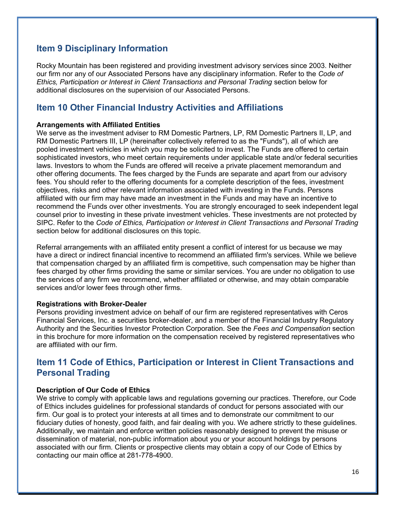### **Item 9 Disciplinary Information**

Rocky Mountain has been registered and providing investment advisory services since 2003. Neither our firm nor any of our Associated Persons have any disciplinary information. Refer to the *Code of Ethics, Participation or Interest in Client Transactions and Personal Trading* section below for additional disclosures on the supervision of our Associated Persons.

### **Item 10 Other Financial Industry Activities and Affiliations**

#### **Arrangements with Affiliated Entities**

We serve as the investment adviser to RM Domestic Partners, LP, RM Domestic Partners II, LP, and RM Domestic Partners III, LP (hereinafter collectively referred to as the "Funds"), all of which are pooled investment vehicles in which you may be solicited to invest. The Funds are offered to certain sophisticated investors, who meet certain requirements under applicable state and/or federal securities laws. Investors to whom the Funds are offered will receive a private placement memorandum and other offering documents. The fees charged by the Funds are separate and apart from our advisory fees. You should refer to the offering documents for a complete description of the fees, investment objectives, risks and other relevant information associated with investing in the Funds. Persons affiliated with our firm may have made an investment in the Funds and may have an incentive to recommend the Funds over other investments. You are strongly encouraged to seek independent legal counsel prior to investing in these private investment vehicles. These investments are not protected by SIPC. Refer to the *Code of Ethics, Participation or Interest in Client Transactions and Personal Trading* section below for additional disclosures on this topic.

Referral arrangements with an affiliated entity present a conflict of interest for us because we may have a direct or indirect financial incentive to recommend an affiliated firm's services. While we believe that compensation charged by an affiliated firm is competitive, such compensation may be higher than fees charged by other firms providing the same or similar services. You are under no obligation to use the services of any firm we recommend, whether affiliated or otherwise, and may obtain comparable services and/or lower fees through other firms.

#### **Registrations with Broker-Dealer**

Persons providing investment advice on behalf of our firm are registered representatives with Ceros Financial Services, Inc. a securities broker-dealer, and a member of the Financial Industry Regulatory Authority and the Securities Investor Protection Corporation. See the *Fees and Compensation* section in this brochure for more information on the compensation received by registered representatives who are affiliated with our firm.

### **Item 11 Code of Ethics, Participation or Interest in Client Transactions and Personal Trading**

#### **Description of Our Code of Ethics**

We strive to comply with applicable laws and regulations governing our practices. Therefore, our Code of Ethics includes guidelines for professional standards of conduct for persons associated with our firm. Our goal is to protect your interests at all times and to demonstrate our commitment to our fiduciary duties of honesty, good faith, and fair dealing with you. We adhere strictly to these guidelines. Additionally, we maintain and enforce written policies reasonably designed to prevent the misuse or dissemination of material, non-public information about you or your account holdings by persons associated with our firm. Clients or prospective clients may obtain a copy of our Code of Ethics by contacting our main office at 281-778-4900.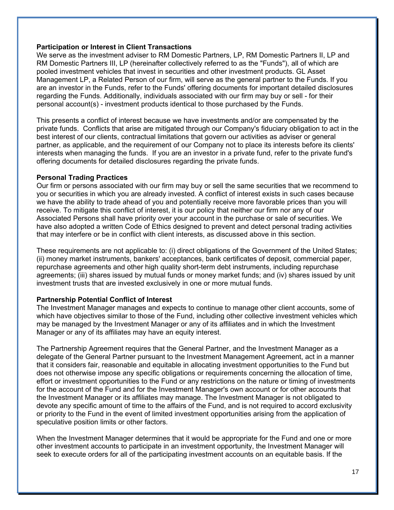#### **Participation or Interest in Client Transactions**

We serve as the investment adviser to RM Domestic Partners, LP, RM Domestic Partners II, LP and RM Domestic Partners III, LP (hereinafter collectively referred to as the "Funds"), all of which are pooled investment vehicles that invest in securities and other investment products. GL Asset Management LP, a Related Person of our firm, will serve as the general partner to the Funds. If you are an investor in the Funds, refer to the Funds' offering documents for important detailed disclosures regarding the Funds. Additionally, individuals associated with our firm may buy or sell - for their personal account(s) - investment products identical to those purchased by the Funds.

This presents a conflict of interest because we have investments and/or are compensated by the private funds. Conflicts that arise are mitigated through our Company's fiduciary obligation to act in the best interest of our clients, contractual limitations that govern our activities as adviser or general partner, as applicable, and the requirement of our Company not to place its interests before its clients' interests when managing the funds. If you are an investor in a private fund, refer to the private fund's offering documents for detailed disclosures regarding the private funds.

#### **Personal Trading Practices**

Our firm or persons associated with our firm may buy or sell the same securities that we recommend to you or securities in which you are already invested. A conflict of interest exists in such cases because we have the ability to trade ahead of you and potentially receive more favorable prices than you will receive. To mitigate this conflict of interest, it is our policy that neither our firm nor any of our Associated Persons shall have priority over your account in the purchase or sale of securities. We have also adopted a written Code of Ethics designed to prevent and detect personal trading activities that may interfere or be in conflict with client interests, as discussed above in this section.

These requirements are not applicable to: (i) direct obligations of the Government of the United States; (ii) money market instruments, bankers' acceptances, bank certificates of deposit, commercial paper, repurchase agreements and other high quality short-term debt instruments, including repurchase agreements; (iii) shares issued by mutual funds or money market funds; and (iv) shares issued by unit investment trusts that are invested exclusively in one or more mutual funds.

#### **Partnership Potential Conflict of Interest**

The Investment Manager manages and expects to continue to manage other client accounts, some of which have objectives similar to those of the Fund, including other collective investment vehicles which may be managed by the Investment Manager or any of its affiliates and in which the Investment Manager or any of its affiliates may have an equity interest.

The Partnership Agreement requires that the General Partner, and the Investment Manager as a delegate of the General Partner pursuant to the Investment Management Agreement, act in a manner that it considers fair, reasonable and equitable in allocating investment opportunities to the Fund but does not otherwise impose any specific obligations or requirements concerning the allocation of time, effort or investment opportunities to the Fund or any restrictions on the nature or timing of investments for the account of the Fund and for the Investment Manager's own account or for other accounts that the Investment Manager or its affiliates may manage. The Investment Manager is not obligated to devote any specific amount of time to the affairs of the Fund, and is not required to accord exclusivity or priority to the Fund in the event of limited investment opportunities arising from the application of speculative position limits or other factors.

When the Investment Manager determines that it would be appropriate for the Fund and one or more other investment accounts to participate in an investment opportunity, the Investment Manager will seek to execute orders for all of the participating investment accounts on an equitable basis. If the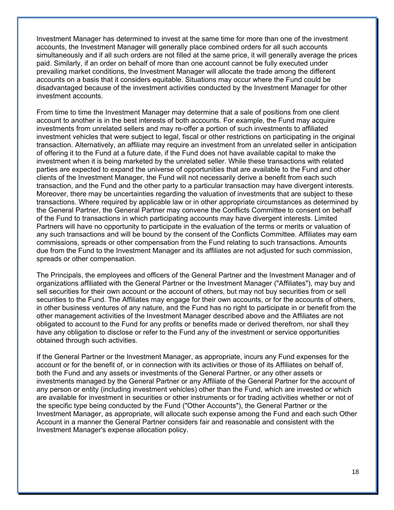Investment Manager has determined to invest at the same time for more than one of the investment accounts, the Investment Manager will generally place combined orders for all such accounts simultaneously and if all such orders are not filled at the same price, it will generally average the prices paid. Similarly, if an order on behalf of more than one account cannot be fully executed under prevailing market conditions, the Investment Manager will allocate the trade among the different accounts on a basis that it considers equitable. Situations may occur where the Fund could be disadvantaged because of the investment activities conducted by the Investment Manager for other investment accounts.

From time to time the Investment Manager may determine that a sale of positions from one client account to another is in the best interests of both accounts. For example, the Fund may acquire investments from unrelated sellers and may re-offer a portion of such investments to affiliated investment vehicles that were subject to legal, fiscal or other restrictions on participating in the original transaction. Alternatively, an affiliate may require an investment from an unrelated seller in anticipation of offering it to the Fund at a future date, if the Fund does not have available capital to make the investment when it is being marketed by the unrelated seller. While these transactions with related parties are expected to expand the universe of opportunities that are available to the Fund and other clients of the Investment Manager, the Fund will not necessarily derive a benefit from each such transaction, and the Fund and the other party to a particular transaction may have divergent interests. Moreover, there may be uncertainties regarding the valuation of investments that are subject to these transactions. Where required by applicable law or in other appropriate circumstances as determined by the General Partner, the General Partner may convene the Conflicts Committee to consent on behalf of the Fund to transactions in which participating accounts may have divergent interests. Limited Partners will have no opportunity to participate in the evaluation of the terms or merits or valuation of any such transactions and will be bound by the consent of the Conflicts Committee. Affiliates may earn commissions, spreads or other compensation from the Fund relating to such transactions. Amounts due from the Fund to the Investment Manager and its affiliates are not adjusted for such commission, spreads or other compensation.

The Principals, the employees and officers of the General Partner and the Investment Manager and of organizations affiliated with the General Partner or the Investment Manager ("Affiliates"), may buy and sell securities for their own account or the account of others, but may not buy securities from or sell securities to the Fund. The Affiliates may engage for their own accounts, or for the accounts of others, in other business ventures of any nature, and the Fund has no right to participate in or benefit from the other management activities of the Investment Manager described above and the Affiliates are not obligated to account to the Fund for any profits or benefits made or derived therefrom, nor shall they have any obligation to disclose or refer to the Fund any of the investment or service opportunities obtained through such activities.

If the General Partner or the Investment Manager, as appropriate, incurs any Fund expenses for the account or for the benefit of, or in connection with its activities or those of its Affiliates on behalf of, both the Fund and any assets or investments of the General Partner, or any other assets or investments managed by the General Partner or any Affiliate of the General Partner for the account of any person or entity (including investment vehicles) other than the Fund, which are invested or which are available for investment in securities or other instruments or for trading activities whether or not of the specific type being conducted by the Fund ("Other Accounts"), the General Partner or the Investment Manager, as appropriate, will allocate such expense among the Fund and each such Other Account in a manner the General Partner considers fair and reasonable and consistent with the Investment Manager's expense allocation policy.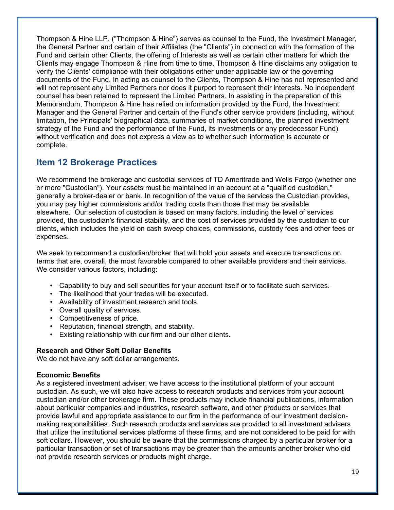Thompson & Hine LLP. ("Thompson & Hine") serves as counsel to the Fund, the Investment Manager, the General Partner and certain of their Affiliates (the "Clients") in connection with the formation of the Fund and certain other Clients, the offering of Interests as well as certain other matters for which the Clients may engage Thompson & Hine from time to time. Thompson & Hine disclaims any obligation to verify the Clients' compliance with their obligations either under applicable law or the governing documents of the Fund. In acting as counsel to the Clients, Thompson & Hine has not represented and will not represent any Limited Partners nor does it purport to represent their interests. No independent counsel has been retained to represent the Limited Partners. In assisting in the preparation of this Memorandum, Thompson & Hine has relied on information provided by the Fund, the Investment Manager and the General Partner and certain of the Fund's other service providers (including, without limitation, the Principals' biographical data, summaries of market conditions, the planned investment strategy of the Fund and the performance of the Fund, its investments or any predecessor Fund) without verification and does not express a view as to whether such information is accurate or complete.

# **Item 12 Brokerage Practices**

We recommend the brokerage and custodial services of TD Ameritrade and Wells Fargo (whether one or more "Custodian"). Your assets must be maintained in an account at a "qualified custodian," generally a broker-dealer or bank. In recognition of the value of the services the Custodian provides, you may pay higher commissions and/or trading costs than those that may be available elsewhere. Our selection of custodian is based on many factors, including the level of services provided, the custodian's financial stability, and the cost of services provided by the custodian to our clients, which includes the yield on cash sweep choices, commissions, custody fees and other fees or expenses.

We seek to recommend a custodian/broker that will hold your assets and execute transactions on terms that are, overall, the most favorable compared to other available providers and their services. We consider various factors, including:

- Capability to buy and sell securities for your account itself or to facilitate such services.
- The likelihood that your trades will be executed.
- Availability of investment research and tools.
- Overall quality of services.
- Competitiveness of price.
- Reputation, financial strength, and stability.
- Existing relationship with our firm and our other clients.

#### **Research and Other Soft Dollar Benefits**

We do not have any soft dollar arrangements.

#### **Economic Benefits**

As a registered investment adviser, we have access to the institutional platform of your account custodian. As such, we will also have access to research products and services from your account custodian and/or other brokerage firm. These products may include financial publications, information about particular companies and industries, research software, and other products or services that provide lawful and appropriate assistance to our firm in the performance of our investment decisionmaking responsibilities. Such research products and services are provided to all investment advisers that utilize the institutional services platforms of these firms, and are not considered to be paid for with soft dollars. However, you should be aware that the commissions charged by a particular broker for a particular transaction or set of transactions may be greater than the amounts another broker who did not provide research services or products might charge.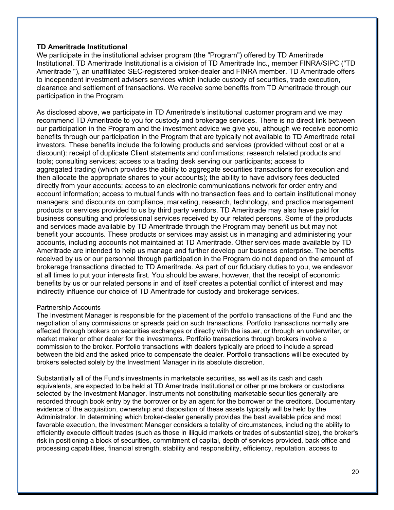#### **TD Ameritrade Institutional**

We participate in the institutional adviser program (the "Program") offered by TD Ameritrade Institutional. TD Ameritrade Institutional is a division of TD Ameritrade Inc., member FINRA/SIPC ("TD Ameritrade "), an unaffiliated SEC-registered broker-dealer and FINRA member. TD Ameritrade offers to independent investment advisers services which include custody of securities, trade execution, clearance and settlement of transactions. We receive some benefits from TD Ameritrade through our participation in the Program.

As disclosed above, we participate in TD Ameritrade's institutional customer program and we may recommend TD Ameritrade to you for custody and brokerage services. There is no direct link between our participation in the Program and the investment advice we give you, although we receive economic benefits through our participation in the Program that are typically not available to TD Ameritrade retail investors. These benefits include the following products and services (provided without cost or at a discount): receipt of duplicate Client statements and confirmations; research related products and tools; consulting services; access to a trading desk serving our participants; access to aggregated trading (which provides the ability to aggregate securities transactions for execution and then allocate the appropriate shares to your accounts); the ability to have advisory fees deducted directly from your accounts; access to an electronic communications network for order entry and account information; access to mutual funds with no transaction fees and to certain institutional money managers; and discounts on compliance, marketing, research, technology, and practice management products or services provided to us by third party vendors. TD Ameritrade may also have paid for business consulting and professional services received by our related persons. Some of the products and services made available by TD Ameritrade through the Program may benefit us but may not benefit your accounts. These products or services may assist us in managing and administering your accounts, including accounts not maintained at TD Ameritrade. Other services made available by TD Ameritrade are intended to help us manage and further develop our business enterprise. The benefits received by us or our personnel through participation in the Program do not depend on the amount of brokerage transactions directed to TD Ameritrade. As part of our fiduciary duties to you, we endeavor at all times to put your interests first. You should be aware, however, that the receipt of economic benefits by us or our related persons in and of itself creates a potential conflict of interest and may indirectly influence our choice of TD Ameritrade for custody and brokerage services.

#### Partnership Accounts

The Investment Manager is responsible for the placement of the portfolio transactions of the Fund and the negotiation of any commissions or spreads paid on such transactions. Portfolio transactions normally are effected through brokers on securities exchanges or directly with the issuer, or through an underwriter, or market maker or other dealer for the investments. Portfolio transactions through brokers involve a commission to the broker. Portfolio transactions with dealers typically are priced to include a spread between the bid and the asked price to compensate the dealer. Portfolio transactions will be executed by brokers selected solely by the Investment Manager in its absolute discretion.

Substantially all of the Fund's investments in marketable securities, as well as its cash and cash equivalents, are expected to be held at TD Ameritrade Institutional or other prime brokers or custodians selected by the Investment Manager. Instruments not constituting marketable securities generally are recorded through book entry by the borrower or by an agent for the borrower or the creditors. Documentary evidence of the acquisition, ownership and disposition of these assets typically will be held by the Administrator. In determining which broker-dealer generally provides the best available price and most favorable execution, the Investment Manager considers a totality of circumstances, including the ability to efficiently execute difficult trades (such as those in illiquid markets or trades of substantial size), the broker's risk in positioning a block of securities, commitment of capital, depth of services provided, back office and processing capabilities, financial strength, stability and responsibility, efficiency, reputation, access to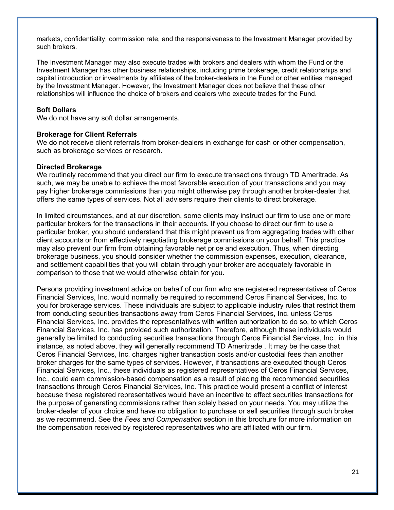markets, confidentiality, commission rate, and the responsiveness to the Investment Manager provided by such brokers.

The Investment Manager may also execute trades with brokers and dealers with whom the Fund or the Investment Manager has other business relationships, including prime brokerage, credit relationships and capital introduction or investments by affiliates of the broker-dealers in the Fund or other entities managed by the Investment Manager. However, the Investment Manager does not believe that these other relationships will influence the choice of brokers and dealers who execute trades for the Fund.

#### **Soft Dollars**

We do not have any soft dollar arrangements.

#### **Brokerage for Client Referrals**

We do not receive client referrals from broker-dealers in exchange for cash or other compensation, such as brokerage services or research.

#### **Directed Brokerage**

We routinely recommend that you direct our firm to execute transactions through TD Ameritrade. As such, we may be unable to achieve the most favorable execution of your transactions and you may pay higher brokerage commissions than you might otherwise pay through another broker-dealer that offers the same types of services. Not all advisers require their clients to direct brokerage.

In limited circumstances, and at our discretion, some clients may instruct our firm to use one or more particular brokers for the transactions in their accounts. If you choose to direct our firm to use a particular broker, you should understand that this might prevent us from aggregating trades with other client accounts or from effectively negotiating brokerage commissions on your behalf. This practice may also prevent our firm from obtaining favorable net price and execution. Thus, when directing brokerage business, you should consider whether the commission expenses, execution, clearance, and settlement capabilities that you will obtain through your broker are adequately favorable in comparison to those that we would otherwise obtain for you.

Persons providing investment advice on behalf of our firm who are registered representatives of Ceros Financial Services, Inc. would normally be required to recommend Ceros Financial Services, Inc. to you for brokerage services. These individuals are subject to applicable industry rules that restrict them from conducting securities transactions away from Ceros Financial Services, Inc. unless Ceros Financial Services, Inc. provides the representatives with written authorization to do so, to which Ceros Financial Services, Inc. has provided such authorization. Therefore, although these individuals would generally be limited to conducting securities transactions through Ceros Financial Services, Inc., in this instance, as noted above, they will generally recommend TD Ameritrade . It may be the case that Ceros Financial Services, Inc. charges higher transaction costs and/or custodial fees than another broker charges for the same types of services. However, if transactions are executed though Ceros Financial Services, Inc., these individuals as registered representatives of Ceros Financial Services, Inc., could earn commission-based compensation as a result of placing the recommended securities transactions through Ceros Financial Services, Inc. This practice would present a conflict of interest because these registered representatives would have an incentive to effect securities transactions for the purpose of generating commissions rather than solely based on your needs. You may utilize the broker-dealer of your choice and have no obligation to purchase or sell securities through such broker as we recommend. See the *Fees and Compensation* section in this brochure for more information on the compensation received by registered representatives who are affiliated with our firm.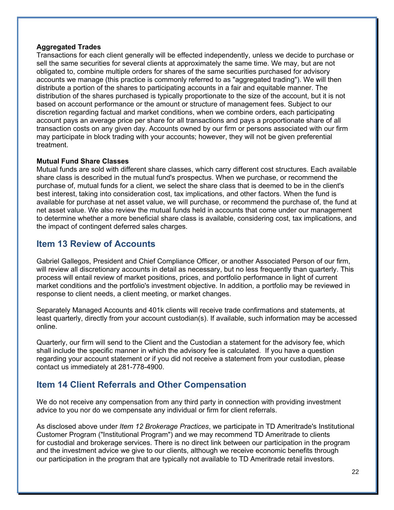#### **Aggregated Trades**

Transactions for each client generally will be effected independently, unless we decide to purchase or sell the same securities for several clients at approximately the same time. We may, but are not obligated to, combine multiple orders for shares of the same securities purchased for advisory accounts we manage (this practice is commonly referred to as "aggregated trading"). We will then distribute a portion of the shares to participating accounts in a fair and equitable manner. The distribution of the shares purchased is typically proportionate to the size of the account, but it is not based on account performance or the amount or structure of management fees. Subject to our discretion regarding factual and market conditions, when we combine orders, each participating account pays an average price per share for all transactions and pays a proportionate share of all transaction costs on any given day. Accounts owned by our firm or persons associated with our firm may participate in block trading with your accounts; however, they will not be given preferential treatment.

#### **Mutual Fund Share Classes**

Mutual funds are sold with different share classes, which carry different cost structures. Each available share class is described in the mutual fund's prospectus. When we purchase, or recommend the purchase of, mutual funds for a client, we select the share class that is deemed to be in the client's best interest, taking into consideration cost, tax implications, and other factors. When the fund is available for purchase at net asset value, we will purchase, or recommend the purchase of, the fund at net asset value. We also review the mutual funds held in accounts that come under our management to determine whether a more beneficial share class is available, considering cost, tax implications, and the impact of contingent deferred sales charges.

### **Item 13 Review of Accounts**

Gabriel Gallegos, President and Chief Compliance Officer, or another Associated Person of our firm, will review all discretionary accounts in detail as necessary, but no less frequently than quarterly. This process will entail review of market positions, prices, and portfolio performance in light of current market conditions and the portfolio's investment objective. In addition, a portfolio may be reviewed in response to client needs, a client meeting, or market changes.

Separately Managed Accounts and 401k clients will receive trade confirmations and statements, at least quarterly, directly from your account custodian(s). If available, such information may be accessed online.

Quarterly, our firm will send to the Client and the Custodian a statement for the advisory fee, which shall include the specific manner in which the advisory fee is calculated. If you have a question regarding your account statement or if you did not receive a statement from your custodian, please contact us immediately at 281-778-4900.

# **Item 14 Client Referrals and Other Compensation**

We do not receive any compensation from any third party in connection with providing investment advice to you nor do we compensate any individual or firm for client referrals.

As disclosed above under *Item 12 Brokerage Practices*, we participate in TD Ameritrade's Institutional Customer Program ("Institutional Program") and we may recommend TD Ameritrade to clients for custodial and brokerage services. There is no direct link between our participation in the program and the investment advice we give to our clients, although we receive economic benefits through our participation in the program that are typically not available to TD Ameritrade retail investors.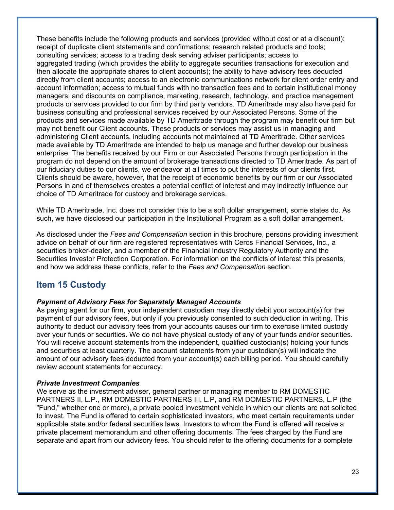These benefits include the following products and services (provided without cost or at a discount): receipt of duplicate client statements and confirmations; research related products and tools; consulting services; access to a trading desk serving adviser participants; access to aggregated trading (which provides the ability to aggregate securities transactions for execution and then allocate the appropriate shares to client accounts); the ability to have advisory fees deducted directly from client accounts; access to an electronic communications network for client order entry and account information; access to mutual funds with no transaction fees and to certain institutional money managers; and discounts on compliance, marketing, research, technology, and practice management products or services provided to our firm by third party vendors. TD Ameritrade may also have paid for business consulting and professional services received by our Associated Persons. Some of the products and services made available by TD Ameritrade through the program may benefit our firm but may not benefit our Client accounts. These products or services may assist us in managing and administering Client accounts, including accounts not maintained at TD Ameritrade. Other services made available by TD Ameritrade are intended to help us manage and further develop our business enterprise. The benefits received by our Firm or our Associated Persons through participation in the program do not depend on the amount of brokerage transactions directed to TD Ameritrade. As part of our fiduciary duties to our clients, we endeavor at all times to put the interests of our clients first. Clients should be aware, however, that the receipt of economic benefits by our firm or our Associated Persons in and of themselves creates a potential conflict of interest and may indirectly influence our choice of TD Ameritrade for custody and brokerage services.

While TD Ameritrade, Inc. does not consider this to be a soft dollar arrangement, some states do. As such, we have disclosed our participation in the Institutional Program as a soft dollar arrangement.

As disclosed under the *Fees and Compensation* section in this brochure, persons providing investment advice on behalf of our firm are registered representatives with Ceros Financial Services, Inc., a securities broker-dealer, and a member of the Financial Industry Regulatory Authority and the Securities Investor Protection Corporation. For information on the conflicts of interest this presents, and how we address these conflicts, refer to the *Fees and Compensation* section.

### **Item 15 Custody**

#### *Payment of Advisory Fees for Separately Managed Accounts*

As paying agent for our firm, your independent custodian may directly debit your account(s) for the payment of our advisory fees, but only if you previously consented to such deduction in writing. This authority to deduct our advisory fees from your accounts causes our firm to exercise limited custody over your funds or securities. We do not have physical custody of any of your funds and/or securities. You will receive account statements from the independent, qualified custodian(s) holding your funds and securities at least quarterly. The account statements from your custodian(s) will indicate the amount of our advisory fees deducted from your account(s) each billing period. You should carefully review account statements for accuracy.

#### *Private Investment Companies*

We serve as the investment adviser, general partner or managing member to RM DOMESTIC PARTNERS II, L.P., RM DOMESTIC PARTNERS III, L.P, and RM DOMESTIC PARTNERS, L.P (the "Fund," whether one or more), a private pooled investment vehicle in which our clients are not solicited to invest. The Fund is offered to certain sophisticated investors, who meet certain requirements under applicable state and/or federal securities laws. Investors to whom the Fund is offered will receive a private placement memorandum and other offering documents. The fees charged by the Fund are separate and apart from our advisory fees. You should refer to the offering documents for a complete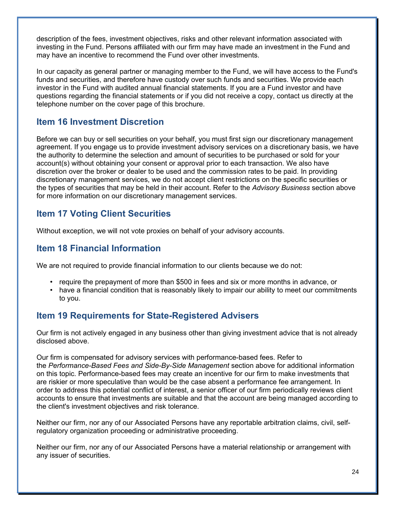description of the fees, investment objectives, risks and other relevant information associated with investing in the Fund. Persons affiliated with our firm may have made an investment in the Fund and may have an incentive to recommend the Fund over other investments.

In our capacity as general partner or managing member to the Fund, we will have access to the Fund's funds and securities, and therefore have custody over such funds and securities. We provide each investor in the Fund with audited annual financial statements. If you are a Fund investor and have questions regarding the financial statements or if you did not receive a copy, contact us directly at the telephone number on the cover page of this brochure.

## **Item 16 Investment Discretion**

Before we can buy or sell securities on your behalf, you must first sign our discretionary management agreement. If you engage us to provide investment advisory services on a discretionary basis, we have the authority to determine the selection and amount of securities to be purchased or sold for your account(s) without obtaining your consent or approval prior to each transaction. We also have discretion over the broker or dealer to be used and the commission rates to be paid. In providing discretionary management services, we do not accept client restrictions on the specific securities or the types of securities that may be held in their account. Refer to the *Advisory Business* section above for more information on our discretionary management services.

## **Item 17 Voting Client Securities**

Without exception, we will not vote proxies on behalf of your advisory accounts.

# **Item 18 Financial Information**

We are not required to provide financial information to our clients because we do not:

- require the prepayment of more than \$500 in fees and six or more months in advance, or
- have a financial condition that is reasonably likely to impair our ability to meet our commitments to you.

# **Item 19 Requirements for State-Registered Advisers**

Our firm is not actively engaged in any business other than giving investment advice that is not already disclosed above.

Our firm is compensated for advisory services with performance-based fees. Refer to the *Performance-Based Fees and Side-By-Side Management* section above for additional information on this topic. Performance-based fees may create an incentive for our firm to make investments that are riskier or more speculative than would be the case absent a performance fee arrangement. In order to address this potential conflict of interest, a senior officer of our firm periodically reviews client accounts to ensure that investments are suitable and that the account are being managed according to the client's investment objectives and risk tolerance.

Neither our firm, nor any of our Associated Persons have any reportable arbitration claims, civil, selfregulatory organization proceeding or administrative proceeding.

Neither our firm, nor any of our Associated Persons have a material relationship or arrangement with any issuer of securities.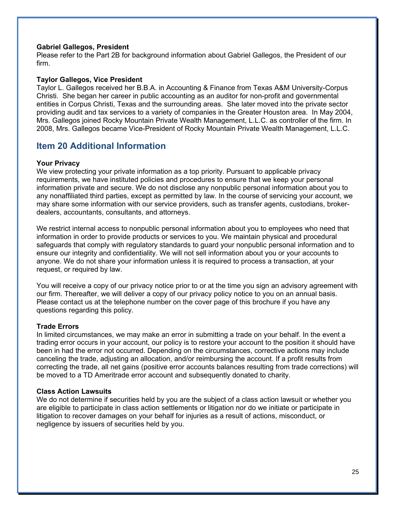#### **Gabriel Gallegos, President**

Please refer to the Part 2B for background information about Gabriel Gallegos, the President of our firm.

#### **Taylor Gallegos, Vice President**

Taylor L. Gallegos received her B.B.A. in Accounting & Finance from Texas A&M University-Corpus Christi. She began her career in public accounting as an auditor for non-profit and governmental entities in Corpus Christi, Texas and the surrounding areas. She later moved into the private sector providing audit and tax services to a variety of companies in the Greater Houston area. In May 2004, Mrs. Gallegos joined Rocky Mountain Private Wealth Management, L.L.C. as controller of the firm. In 2008, Mrs. Gallegos became Vice-President of Rocky Mountain Private Wealth Management, L.L.C.

### **Item 20 Additional Information**

#### **Your Privacy**

We view protecting your private information as a top priority. Pursuant to applicable privacy requirements, we have instituted policies and procedures to ensure that we keep your personal information private and secure. We do not disclose any nonpublic personal information about you to any nonaffiliated third parties, except as permitted by law. In the course of servicing your account, we may share some information with our service providers, such as transfer agents, custodians, brokerdealers, accountants, consultants, and attorneys.

We restrict internal access to nonpublic personal information about you to employees who need that information in order to provide products or services to you. We maintain physical and procedural safeguards that comply with regulatory standards to guard your nonpublic personal information and to ensure our integrity and confidentiality. We will not sell information about you or your accounts to anyone. We do not share your information unless it is required to process a transaction, at your request, or required by law.

You will receive a copy of our privacy notice prior to or at the time you sign an advisory agreement with our firm. Thereafter, we will deliver a copy of our privacy policy notice to you on an annual basis. Please contact us at the telephone number on the cover page of this brochure if you have any questions regarding this policy.

#### **Trade Errors**

In limited circumstances, we may make an error in submitting a trade on your behalf. In the event a trading error occurs in your account, our policy is to restore your account to the position it should have been in had the error not occurred. Depending on the circumstances, corrective actions may include canceling the trade, adjusting an allocation, and/or reimbursing the account. If a profit results from correcting the trade, all net gains (positive error accounts balances resulting from trade corrections) will be moved to a TD Ameritrade error account and subsequently donated to charity.

#### **Class Action Lawsuits**

We do not determine if securities held by you are the subject of a class action lawsuit or whether you are eligible to participate in class action settlements or litigation nor do we initiate or participate in litigation to recover damages on your behalf for injuries as a result of actions, misconduct, or negligence by issuers of securities held by you.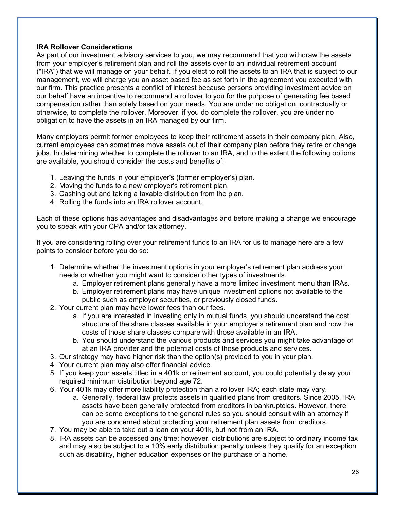#### **IRA Rollover Considerations**

As part of our investment advisory services to you, we may recommend that you withdraw the assets from your employer's retirement plan and roll the assets over to an individual retirement account ("IRA") that we will manage on your behalf. If you elect to roll the assets to an IRA that is subject to our management, we will charge you an asset based fee as set forth in the agreement you executed with our firm. This practice presents a conflict of interest because persons providing investment advice on our behalf have an incentive to recommend a rollover to you for the purpose of generating fee based compensation rather than solely based on your needs. You are under no obligation, contractually or otherwise, to complete the rollover. Moreover, if you do complete the rollover, you are under no obligation to have the assets in an IRA managed by our firm.

Many employers permit former employees to keep their retirement assets in their company plan. Also, current employees can sometimes move assets out of their company plan before they retire or change jobs. In determining whether to complete the rollover to an IRA, and to the extent the following options are available, you should consider the costs and benefits of:

- 1. Leaving the funds in your employer's (former employer's) plan.
- 2. Moving the funds to a new employer's retirement plan.
- 3. Cashing out and taking a taxable distribution from the plan.
- 4. Rolling the funds into an IRA rollover account.

Each of these options has advantages and disadvantages and before making a change we encourage you to speak with your CPA and/or tax attorney.

If you are considering rolling over your retirement funds to an IRA for us to manage here are a few points to consider before you do so:

- 1. Determine whether the investment options in your employer's retirement plan address your needs or whether you might want to consider other types of investments.
	- a. Employer retirement plans generally have a more limited investment menu than IRAs.
	- b. Employer retirement plans may have unique investment options not available to the public such as employer securities, or previously closed funds.
- 2. Your current plan may have lower fees than our fees.
	- a. If you are interested in investing only in mutual funds, you should understand the cost structure of the share classes available in your employer's retirement plan and how the costs of those share classes compare with those available in an IRA.
	- b. You should understand the various products and services you might take advantage of at an IRA provider and the potential costs of those products and services.
- 3. Our strategy may have higher risk than the option(s) provided to you in your plan.
- 4. Your current plan may also offer financial advice.
- 5. If you keep your assets titled in a 401k or retirement account, you could potentially delay your required minimum distribution beyond age 72.
- 6. Your 401k may offer more liability protection than a rollover IRA; each state may vary.
	- a. Generally, federal law protects assets in qualified plans from creditors. Since 2005, IRA assets have been generally protected from creditors in bankruptcies. However, there can be some exceptions to the general rules so you should consult with an attorney if you are concerned about protecting your retirement plan assets from creditors.
- 7. You may be able to take out a loan on your 401k, but not from an IRA.
- 8. IRA assets can be accessed any time; however, distributions are subject to ordinary income tax and may also be subject to a 10% early distribution penalty unless they qualify for an exception such as disability, higher education expenses or the purchase of a home.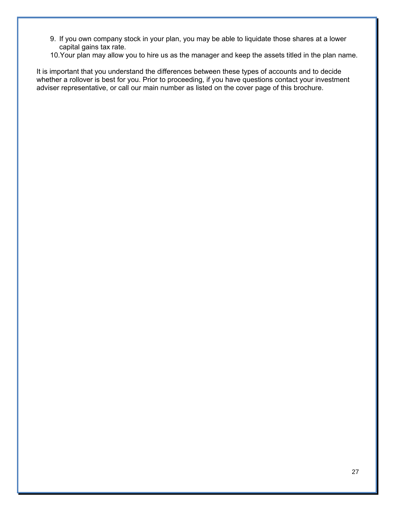- 9. If you own company stock in your plan, you may be able to liquidate those shares at a lower capital gains tax rate.
- 10.Your plan may allow you to hire us as the manager and keep the assets titled in the plan name.

It is important that you understand the differences between these types of accounts and to decide whether a rollover is best for you. Prior to proceeding, if you have questions contact your investment adviser representative, or call our main number as listed on the cover page of this brochure.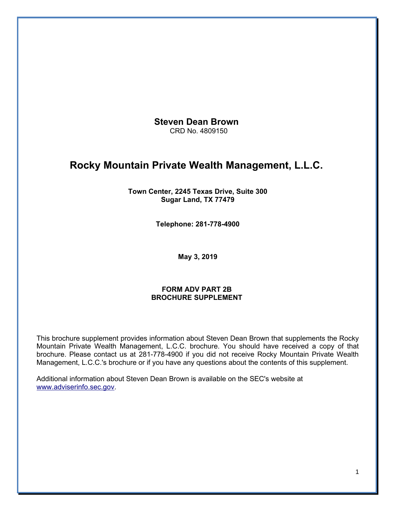**Steven Dean Brown**  CRD No. 4809150

# **Rocky Mountain Private Wealth Management, L.L.C.**

**Town Center, 2245 Texas Drive, Suite 300 Sugar Land, TX 77479**

**Telephone: 281-778-4900**

**May 3, 2019**

#### **FORM ADV PART 2B BROCHURE SUPPLEMENT**

This brochure supplement provides information about Steven Dean Brown that supplements the Rocky Mountain Private Wealth Management, L.C.C. brochure. You should have received a copy of that brochure. Please contact us at 281-778-4900 if you did not receive Rocky Mountain Private Wealth Management, L.C.C.'s brochure or if you have any questions about the contents of this supplement.

Additional information about Steven Dean Brown is available on the SEC's website at [www.adviserinfo.sec.gov.](http://www.adviserinfo.sec.gov/)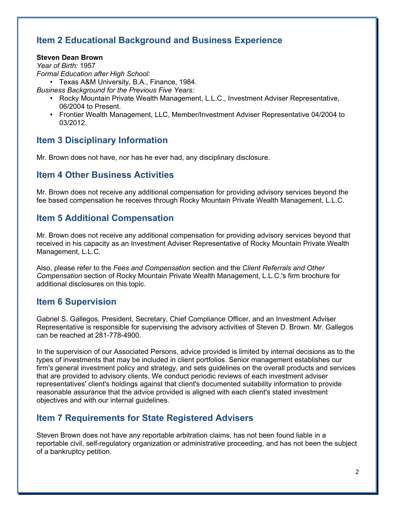# **Item 2 Educational Background and Business Experience**

#### **Steven Dean Brown**

*Year of Birth:* 1957 *Formal Education after High School:*

• Texas A&M University, B.A., Finance, 1984.

*Business Background for the Previous Five Years:*

- Rocky Mountain Private Wealth Management, L.L.C., Investment Adviser Representative, 06/2004 to Present.
- Frontier Wealth Management, LLC, Member/Investment Adviser Representative 04/2004 to 03/2012.

### **Item 3 Disciplinary Information**

Mr. Brown does not have, nor has he ever had, any disciplinary disclosure.

### **Item 4 Other Business Activities**

Mr. Brown does not receive any additional compensation for providing advisory services beyond the fee based compensation he receives through Rocky Mountain Private Wealth Management, L.L.C.

### **Item 5 Additional Compensation**

Mr. Brown does not receive any additional compensation for providing advisory services beyond that received in his capacity as an Investment Adviser Representative of Rocky Mountain Private Wealth Management, L.L.C.

Also, please refer to the *Fees and Compensation* section and the *Client Referrals and Other Compensation* section of Rocky Mountain Private Wealth Management, L.L.C.'s firm brochure for additional disclosures on this topic.

### **Item 6 Supervision**

Gabriel S. Gallegos, President, Secretary, Chief Compliance Officer, and an Investment Adviser Representative is responsible for supervising the advisory activities of Steven D. Brown. Mr. Gallegos can be reached at 281-778-4900.

In the supervision of our Associated Persons, advice provided is limited by internal decisions as to the types of investments that may be included in client portfolios. Senior management establishes our firm's general investment policy and strategy, and sets guidelines on the overall products and services that are provided to advisory clients. We conduct periodic reviews of each investment adviser representatives' client's holdings against that client's documented suitability information to provide reasonable assurance that the advice provided is aligned with each client's stated investment objectives and with our internal guidelines.

### **Item 7 Requirements for State Registered Advisers**

Steven Brown does not have any reportable arbitration claims, has not been found liable in a reportable civil, self-regulatory organization or administrative proceeding, and has not been the subject of a bankruptcy petition.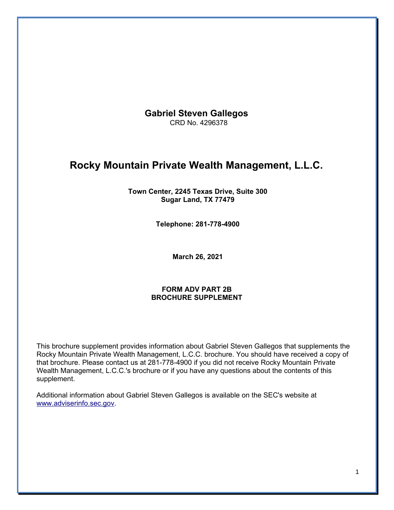**Gabriel Steven Gallegos**  CRD No. 4296378

# **Rocky Mountain Private Wealth Management, L.L.C.**

**Town Center, 2245 Texas Drive, Suite 300 Sugar Land, TX 77479**

**Telephone: 281-778-4900**

**March 26, 2021**

#### **FORM ADV PART 2B BROCHURE SUPPLEMENT**

This brochure supplement provides information about Gabriel Steven Gallegos that supplements the Rocky Mountain Private Wealth Management, L.C.C. brochure. You should have received a copy of that brochure. Please contact us at 281-778-4900 if you did not receive Rocky Mountain Private Wealth Management, L.C.C.'s brochure or if you have any questions about the contents of this supplement.

Additional information about Gabriel Steven Gallegos is available on the SEC's website at [www.adviserinfo.sec.gov.](http://www.adviserinfo.sec.gov/)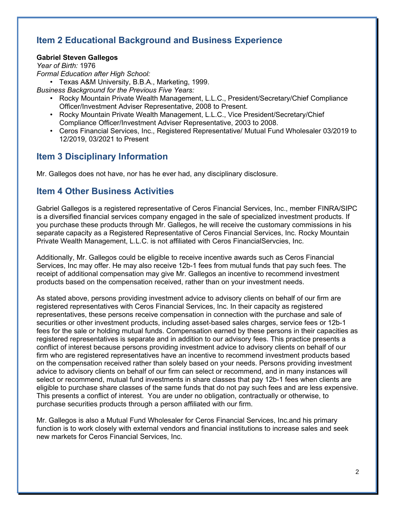# **Item 2 Educational Background and Business Experience**

#### **Gabriel Steven Gallegos**

*Year of Birth:* 1976 *Formal Education after High School:*

• Texas A&M University, B.B.A., Marketing, 1999.

*Business Background for the Previous Five Years:*

- Rocky Mountain Private Wealth Management, L.L.C., President/Secretary/Chief Compliance Officer/Investment Adviser Representative, 2008 to Present.
- Rocky Mountain Private Wealth Management, L.L.C., Vice President/Secretary/Chief Compliance Officer/Investment Adviser Representative, 2003 to 2008.
- Ceros Financial Services, Inc., Registered Representative/ Mutual Fund Wholesaler 03/2019 to 12/2019, 03/2021 to Present

# **Item 3 Disciplinary Information**

Mr. Gallegos does not have, nor has he ever had, any disciplinary disclosure.

### **Item 4 Other Business Activities**

Gabriel Gallegos is a registered representative of Ceros Financial Services, Inc., member FINRA/SIPC is a diversified financial services company engaged in the sale of specialized investment products. If you purchase these products through Mr. Gallegos, he will receive the customary commissions in his separate capacity as a Registered Representative of Ceros Financial Services, Inc. Rocky Mountain Private Wealth Management, L.L.C. is not affiliated with Ceros FinancialServcies, Inc.

Additionally, Mr. Gallegos could be eligible to receive incentive awards such as Ceros Financial Services, Inc may offer. He may also receive 12b-1 fees from mutual funds that pay such fees. The receipt of additional compensation may give Mr. Gallegos an incentive to recommend investment products based on the compensation received, rather than on your investment needs.

As stated above, persons providing investment advice to advisory clients on behalf of our firm are registered representatives with Ceros Financial Services, Inc. In their capacity as registered representatives, these persons receive compensation in connection with the purchase and sale of securities or other investment products, including asset-based sales charges, service fees or 12b-1 fees for the sale or holding mutual funds. Compensation earned by these persons in their capacities as registered representatives is separate and in addition to our advisory fees. This practice presents a conflict of interest because persons providing investment advice to advisory clients on behalf of our firm who are registered representatives have an incentive to recommend investment products based on the compensation received rather than solely based on your needs. Persons providing investment advice to advisory clients on behalf of our firm can select or recommend, and in many instances will select or recommend, mutual fund investments in share classes that pay 12b-1 fees when clients are eligible to purchase share classes of the same funds that do not pay such fees and are less expensive. This presents a conflict of interest. You are under no obligation, contractually or otherwise, to purchase securities products through a person affiliated with our firm.

Mr. Gallegos is also a Mutual Fund Wholesaler for Ceros Financial Services, Inc.and his primary function is to work closely with external vendors and financial institutions to increase sales and seek new markets for Ceros Financial Services, Inc.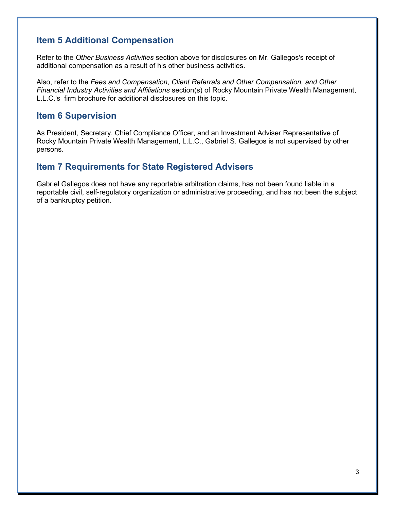## **Item 5 Additional Compensation**

Refer to the *Other Business Activities* section above for disclosures on Mr. Gallegos's receipt of additional compensation as a result of his other business activities.

Also, refer to the *Fees and Compensation*, *Client Referrals and Other Compensation, and Other Financial Industry Activities and Affiliations* section(s) of Rocky Mountain Private Wealth Management, L.L.C.'s firm brochure for additional disclosures on this topic.

### **Item 6 Supervision**

As President, Secretary, Chief Compliance Officer, and an Investment Adviser Representative of Rocky Mountain Private Wealth Management, L.L.C., Gabriel S. Gallegos is not supervised by other persons.

### **Item 7 Requirements for State Registered Advisers**

Gabriel Gallegos does not have any reportable arbitration claims, has not been found liable in a reportable civil, self-regulatory organization or administrative proceeding, and has not been the subject of a bankruptcy petition.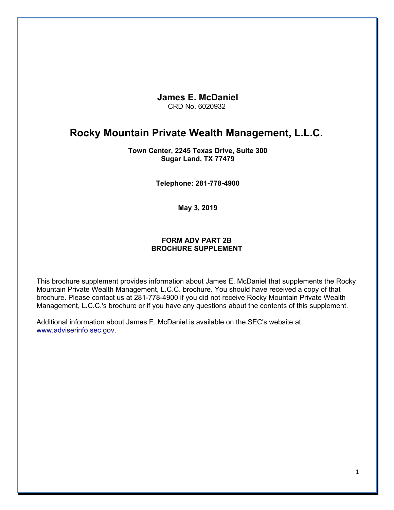#### **James E. McDaniel** CRD No. 6020932

# **Rocky Mountain Private Wealth Management, L.L.C.**

#### **Town Center, 2245 Texas Drive, Suite 300 Sugar Land, TX 77479**

**Telephone: 281-778-4900**

**May 3, 2019**

#### **FORM ADV PART 2B BROCHURE SUPPLEMENT**

This brochure supplement provides information about James E. McDaniel that supplements the Rocky Mountain Private Wealth Management, L.C.C. brochure. You should have received a copy of that brochure. Please contact us at 281-778-4900 if you did not receive Rocky Mountain Private Wealth Management, L.C.C.'s brochure or if you have any questions about the contents of this supplement.

Additional information about James E. McDaniel is available on the SEC's website at [www.adviserinfo.sec.gov.](http://www.adviserinfo.sec.gov./)